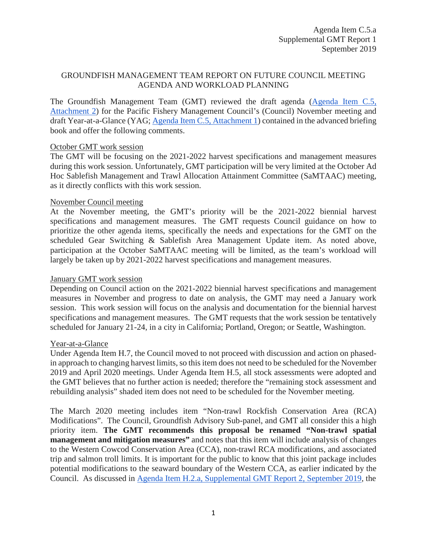# GROUNDFISH MANAGEMENT TEAM REPORT ON FUTURE COUNCIL MEETING AGENDA AND WORKLOAD PLANNING

The Groundfish Management Team (GMT) reviewed the draft agenda [\(Agenda Item C.5,](https://www.pcouncil.org/wp-content/uploads/2019/08/C5_Att2_NOV2019_QR_v2_SEPT2019BB.pdf) [Attachment 2\)](https://www.pcouncil.org/wp-content/uploads/2019/08/C5_Att2_NOV2019_QR_v2_SEPT2019BB.pdf) for the Pacific Fishery Management Council's (Council) November meeting and draft Year-at-a-Glance (YAG[; Agenda Item C.5, Attachment 1\)](https://www.pcouncil.org/wp-content/uploads/2019/08/C5_Att1_YAG_BBSEPT2019.pdf) contained in the advanced briefing book and offer the following comments.

#### October GMT work session

The GMT will be focusing on the 2021-2022 harvest specifications and management measures during this work session. Unfortunately, GMT participation will be very limited at the October Ad Hoc Sablefish Management and Trawl Allocation Attainment Committee (SaMTAAC) meeting, as it directly conflicts with this work session.

#### November Council meeting

At the November meeting, the GMT's priority will be the 2021-2022 biennial harvest specifications and management measures. The GMT requests Council guidance on how to prioritize the other agenda items, specifically the needs and expectations for the GMT on the scheduled Gear Switching & Sablefish Area Management Update item. As noted above, participation at the October SaMTAAC meeting will be limited, as the team's workload will largely be taken up by 2021-2022 harvest specifications and management measures.

### January GMT work session

Depending on Council action on the 2021-2022 biennial harvest specifications and management measures in November and progress to date on analysis, the GMT may need a January work session. This work session will focus on the analysis and documentation for the biennial harvest specifications and management measures. The GMT requests that the work session be tentatively scheduled for January 21-24, in a city in California; Portland, Oregon; or Seattle, Washington.

## Year-at-a-Glance

Under Agenda Item H.7, the Council moved to not proceed with discussion and action on phasedin approach to changing harvest limits, so this item does not need to be scheduled for the November 2019 and April 2020 meetings. Under Agenda Item H.5, all stock assessments were adopted and the GMT believes that no further action is needed; therefore the "remaining stock assessment and rebuilding analysis" shaded item does not need to be scheduled for the November meeting.

The March 2020 meeting includes item "Non-trawl Rockfish Conservation Area (RCA) Modifications". The Council, Groundfish Advisory Sub-panel, and GMT all consider this a high priority item. **The GMT recommends this proposal be renamed "Non-trawl spatial management and mitigation measures"** and notes that this item will include analysis of changes to the Western Cowcod Conservation Area (CCA), non-trawl RCA modifications, and associated trip and salmon troll limits. It is important for the public to know that this joint package includes potential modifications to the seaward boundary of the Western CCA, as earlier indicated by the Council. As discussed in [Agenda Item H.2.a, Supplemental GMT Report 2, September 2019,](https://www.pcouncil.org/wp-content/uploads/2019/09/H2a_Sup_GMT_Rpt2_SEPT2019.pdf) the